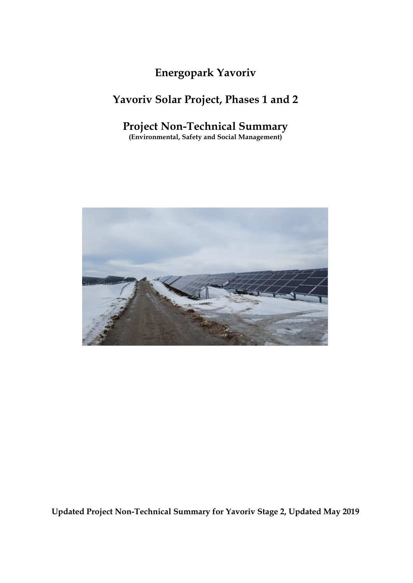# **Energopark Yavoriv**

# **Yavoriv Solar Project, Phases 1 and 2**

## **Project Non-Technical Summary**

**(Environmental, Safety and Social Management)**



**Updated Project Non-Technical Summary for Yavoriv Stage 2, Updated May 2019**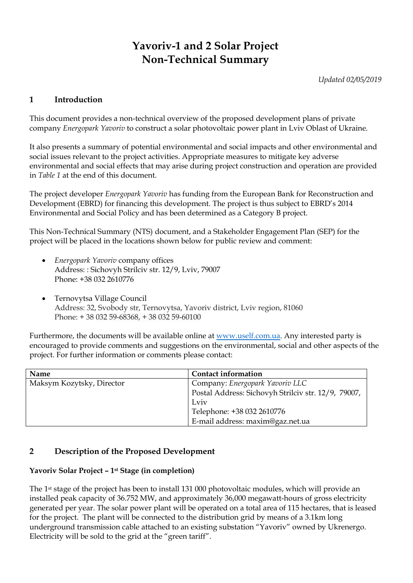# **Yavoriv-1 and 2 Solar Project Non-Technical Summary**

*Updated 02/05/2019*

## **1 Introduction**

This document provides a non-technical overview of the proposed development plans of private company *Energopark Yavoriv* to construct a solar photovoltaic power plant in Lviv Oblast of Ukraine.

It also presents a summary of potential environmental and social impacts and other environmental and social issues relevant to the project activities. Appropriate measures to mitigate key adverse environmental and social effects that may arise during project construction and operation are provided in *Table 1* at the end of this document.

The project developer *Energopark Yavoriv* has funding from the European Bank for Reconstruction and Development (EBRD) for financing this development. The project is thus subject to EBRD's 2014 Environmental and Social Policy and has been determined as a Category B project.

This Non-Technical Summary (NTS) document, and a Stakeholder Engagement Plan (SEP) for the project will be placed in the locations shown below for public review and comment:

- *Energopark Yavoriv* company offices Address: : Sichovyh Strilciv str. 12/9, Lviv, 79007 Phone: +38 032 2610776
- Ternovytsa Village Council Address: 32, Svobody str, Ternovytsa, Yavoriv district, Lviv region, 81060 Phone: + 38 032 59-68368, + 38 032 59-60100

Furthermore, the documents will be available online at [www.uself.com.ua.](http://www.uself.com.ua/) Any interested party is encouraged to provide comments and suggestions on the environmental, social and other aspects of the project. For further information or comments please contact:

| Name                      | <b>Contact information</b>                          |
|---------------------------|-----------------------------------------------------|
| Maksym Kozytsky, Director | Company: Energopark Yavoriv LLC                     |
|                           | Postal Address: Sichovyh Strilciv str. 12/9, 79007, |
|                           | Lviv                                                |
|                           | Telephone: +38 032 2610776                          |
|                           | E-mail address: maxim@gaz.net.ua                    |

## **2 Description of the Proposed Development**

### **Yavoriv Solar Project – 1st Stage (in completion)**

The 1st stage of the project has been to install 131 000 photovoltaic modules, which will provide an installed peak capacity of 36.752 MW, and approximately 36,000 megawatt-hours of gross electricity generated per year. The solar power plant will be operated on a total area of 115 hectares, that is leased for the project. The plant will be connected to the distribution grid by means of a 3.1km long underground transmission cable attached to an existing substation "Yavoriv" owned by Ukrenergo. Electricity will be sold to the grid at the "green tariff".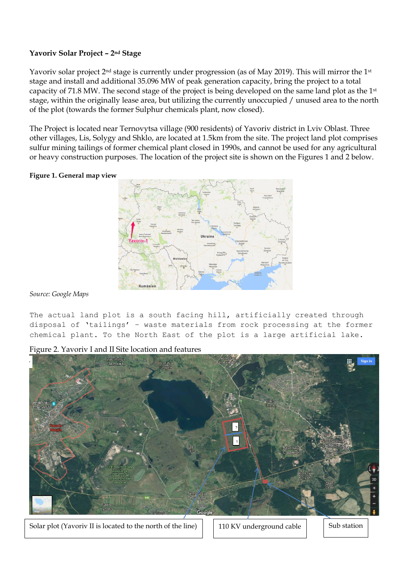### **Yavoriv Solar Project – 2nd Stage**

Yavoriv solar project 2<sup>nd</sup> stage is currently under progression (as of May 2019). This will mirror the 1<sup>st</sup> stage and install and additional 35.096 MW of peak generation capacity, bring the project to a total capacity of 71.8 MW. The second stage of the project is being developed on the same land plot as the 1st stage, within the originally lease area, but utilizing the currently unoccupied / unused area to the north of the plot (towards the former Sulphur chemicals plant, now closed).

The Project is located near Ternovytsa village (900 residents) of Yavoriv district in Lviv Oblast. Three other villages, Lis, Solygy and Shklo, are located at 1.5km from the site. The project land plot comprises sulfur mining tailings of former chemical plant closed in 1990s, and cannot be used for any agricultural or heavy construction purposes. The location of the project site is shown on the Figures 1 and 2 below.

#### **Figure 1. General map view**



*Source: Google Maps*

The actual land plot is a south facing hill, artificially created through disposal of 'tailings' – waste materials from rock processing at the former chemical plant. To the North East of the plot is a large artificial lake.

Figure 2. Yavoriv I and II Site location and features



Solar plot (Yavoriv II is located to the north of the line)  $\vert$  110 KV underground cable  $\vert$  Sub station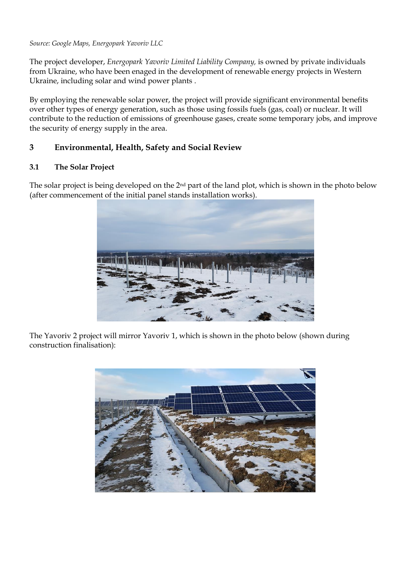*Source: Google Maps, Energopark Yavoriv LLC*

The project developer, *Energopark Yavoriv Limited Liability Company,* is owned by private individuals from Ukraine, who have been enaged in the development of renewable energy projects in Western Ukraine, including solar and wind power plants .

By employing the renewable solar power, the project will provide significant environmental benefits over other types of energy generation, such as those using fossils fuels (gas, coal) or nuclear. It will contribute to the reduction of emissions of greenhouse gases, create some temporary jobs, and improve the security of energy supply in the area.

### **3 Environmental, Health, Safety and Social Review**

### **3.1 The Solar Project**

The solar project is being developed on the 2nd part of the land plot, which is shown in the photo below (after commencement of the initial panel stands installation works).



The Yavoriv 2 project will mirror Yavoriv 1, which is shown in the photo below (shown during construction finalisation):

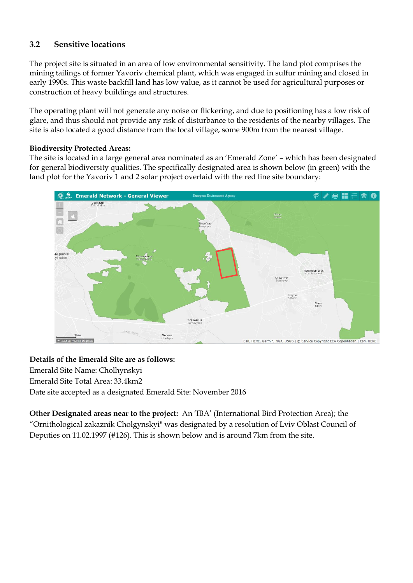## **3.2 Sensitive locations**

The project site is situated in an area of low environmental sensitivity. The land plot comprises the mining tailings of former Yavoriv chemical plant, which was engaged in sulfur mining and closed in early 1990s. This waste backfill land has low value, as it cannot be used for agricultural purposes or construction of heavy buildings and structures.

The operating plant will not generate any noise or flickering, and due to positioning has a low risk of glare, and thus should not provide any risk of disturbance to the residents of the nearby villages. The site is also located a good distance from the local village, some 900m from the nearest village.

### **Biodiversity Protected Areas:**

The site is located in a large general area nominated as an 'Emerald Zone' – which has been designated for general biodiversity qualities. The specifically designated area is shown below (in green) with the land plot for the Yavoriv 1 and 2 solar project overlaid with the red line site boundary:



#### **Details of the Emerald Site are as follows:**

Emerald Site Name: Cholhynskyi Emerald Site Total Area: 33.4km2 Date site accepted as a designated Emerald Site: November 2016

**Other Designated areas near to the project:** An 'IBA' (International Bird Protection Area); the "Ornithological zakaznik Cholgynskyi" was designated by a resolution of Lviv Oblast Council of Deputies on 11.02.1997 (#126). This is shown below and is around 7km from the site.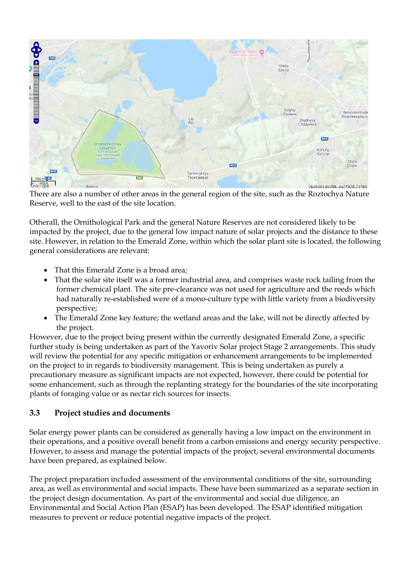

There are also a number of other areas in the general region of the site, such as the Roztochya Nature Reserve, well to the east of the site location.

Otherall, the Ornithological Park and the general Nature Reserves are not considered likely to be impacted by the project, due to the general low impact nature of solar projects and the distance to these site. However, in relation to the Emerald Zone, within which the solar plant site is located, the following general considerations are relevant:

- That this Emerald Zone is a broad area:
- That the solar site itself was a former industrial area, and comprises waste rock tailing from the former chemical plant. The site pre-clearance was not used for agriculture and the reeds which had naturally re-established were of a mono-culture type with little variety from a biodiversity perspective;
- The Emerald Zone key feature; the wetland areas and the lake, will not be directly affected by the project.

However, due to the project being present within the currently designated Emerald Zone, a specific further study is being undertaken as part of the Yavoriv Solar project Stage 2 arrangements. This study will review the potential for any specific mitigation or enhancement arrangements to be implemented on the project to in regards to biodiversity management. This is being undertaken as purely a precautionary measure as significant impacts are not expected, however, there could be potential for some enhancement, such as through the replanting strategy for the boundaries of the site incorporating plants of foraging value or as nectar rich sources for insects.

## **3.3 Project studies and documents**

Solar energy power plants can be considered as generally having a low impact on the environment in their operations, and a positive overall benefit from a carbon emissions and energy security perspective. However, to assess and manage the potential impacts of the project, several environmental documents have been prepared, as explained below.

The project preparation included assessment of the environmental conditions of the site, surrounding area, as well as environmental and social impacts. These have been summarized as a separate section in the project design documentation. As part of the environmental and social due diligence, an Environmental and Social Action Plan (ESAP) has been developed. The ESAP identified mitigation measures to prevent or reduce potential negative impacts of the project.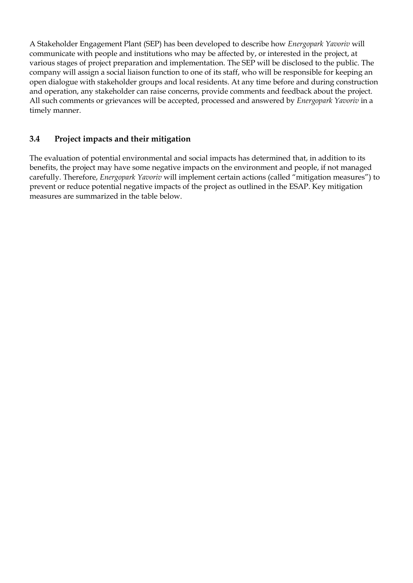A Stakeholder Engagement Plant (SEP) has been developed to describe how *Energopark Yavoriv* will communicate with people and institutions who may be affected by, or interested in the project, at various stages of project preparation and implementation. The SEP will be disclosed to the public. The company will assign a social liaison function to one of its staff, who will be responsible for keeping an open dialogue with stakeholder groups and local residents. At any time before and during construction and operation, any stakeholder can raise concerns, provide comments and feedback about the project. All such comments or grievances will be accepted, processed and answered by *Energopark Yavoriv* in a timely manner.

## **3.4 Project impacts and their mitigation**

The evaluation of potential environmental and social impacts has determined that, in addition to its benefits, the project may have some negative impacts on the environment and people, if not managed carefully. Therefore, *Energopark Yavoriv* will implement certain actions (called "mitigation measures") to prevent or reduce potential negative impacts of the project as outlined in the ESAP. Key mitigation measures are summarized in the table below.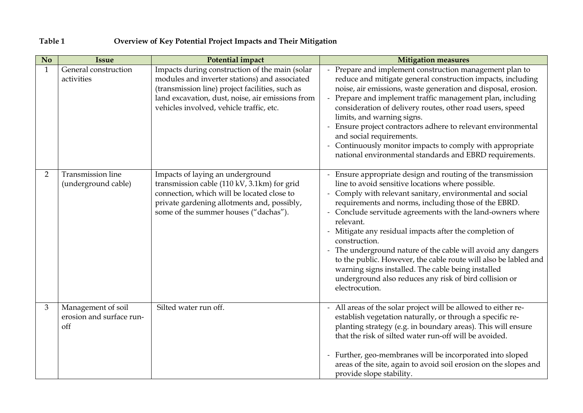## **Table 1 Overview of Key Potential Project Impacts and Their Mitigation**

| No.            | <b>Issue</b>                                          | <b>Potential impact</b>                                                                                                                                                                                                                            | <b>Mitigation measures</b>                                                                                                                                                                                                                                                                                                                                                                                                                                                                                                                                                                                                                                    |
|----------------|-------------------------------------------------------|----------------------------------------------------------------------------------------------------------------------------------------------------------------------------------------------------------------------------------------------------|---------------------------------------------------------------------------------------------------------------------------------------------------------------------------------------------------------------------------------------------------------------------------------------------------------------------------------------------------------------------------------------------------------------------------------------------------------------------------------------------------------------------------------------------------------------------------------------------------------------------------------------------------------------|
| $\mathbf{1}$   | General construction<br>activities                    | Impacts during construction of the main (solar<br>modules and inverter stations) and associated<br>(transmission line) project facilities, such as<br>land excavation, dust, noise, air emissions from<br>vehicles involved, vehicle traffic, etc. | - Prepare and implement construction management plan to<br>reduce and mitigate general construction impacts, including<br>noise, air emissions, waste generation and disposal, erosion.<br>- Prepare and implement traffic management plan, including<br>consideration of delivery routes, other road users, speed<br>limits, and warning signs.<br>Ensure project contractors adhere to relevant environmental<br>and social requirements.<br>- Continuously monitor impacts to comply with appropriate<br>national environmental standards and EBRD requirements.                                                                                           |
| $\overline{2}$ | <b>Transmission line</b><br>(underground cable)       | Impacts of laying an underground<br>transmission cable (110 kV, 3.1km) for grid<br>connection, which will be located close to<br>private gardening allotments and, possibly,<br>some of the summer houses ("dachas").                              | - Ensure appropriate design and routing of the transmission<br>line to avoid sensitive locations where possible.<br>- Comply with relevant sanitary, environmental and social<br>requirements and norms, including those of the EBRD.<br>Conclude servitude agreements with the land-owners where<br>relevant.<br>Mitigate any residual impacts after the completion of<br>construction.<br>- The underground nature of the cable will avoid any dangers<br>to the public. However, the cable route will also be labled and<br>warning signs installed. The cable being installed<br>underground also reduces any risk of bird collision or<br>electrocution. |
| 3              | Management of soil<br>erosion and surface run-<br>off | Silted water run off.                                                                                                                                                                                                                              | - All areas of the solar project will be allowed to either re-<br>establish vegetation naturally, or through a specific re-<br>planting strategy (e.g. in boundary areas). This will ensure<br>that the risk of silted water run-off will be avoided.<br>- Further, geo-membranes will be incorporated into sloped<br>areas of the site, again to avoid soil erosion on the slopes and<br>provide slope stability.                                                                                                                                                                                                                                            |